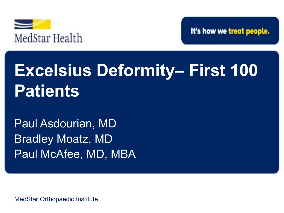

It's how we treat people.

# **Excelsius Deformity– First 100 Patients**

Paul Asdourian, MD Bradley Moatz, MD Paul McAfee, MD, MBA

MedStar Orthopaedic Institute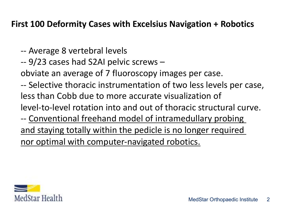### **First 100 Deformity Cases with Excelsius Navigation + Robotics**

- -- Average 8 vertebral levels
- -- 9/23 cases had S2AI pelvic screws –

obviate an average of 7 fluoroscopy images per case.

- -- Selective thoracic instrumentation of two less levels per case, less than Cobb due to more accurate visualization of level-to-level rotation into and out of thoracic structural curve.
- -- Conventional freehand model of intramedullary probing and staying totally within the pedicle is no longer required nor optimal with computer-navigated robotics.

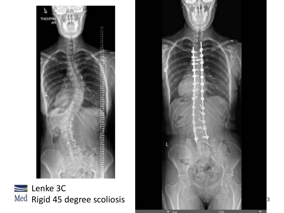

**Lenke 3C** Med Rigid 45 degree scoliosis

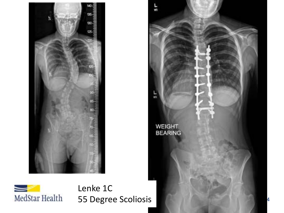



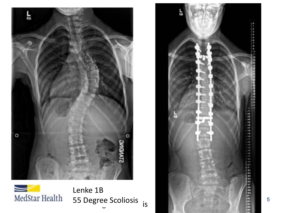



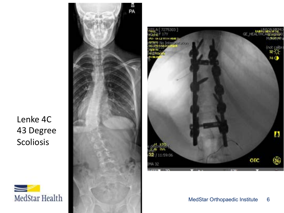Lenke 4C 43 Degree Scoliosis







#### MedStar Orthopaedic Institute  $6\overline{6}$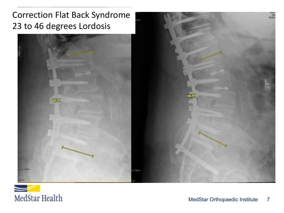### Correction Flat Back Syndrome 23 to 46 degrees Lordosis



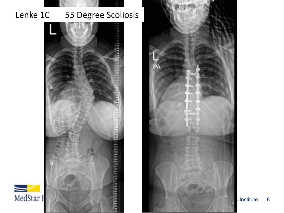



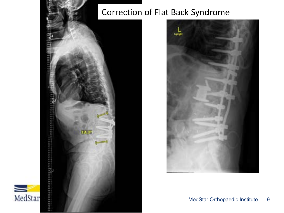





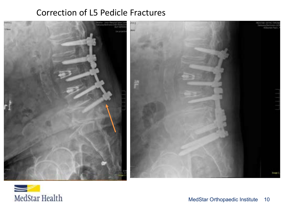#### Correction of L5 Pedicle Fractures



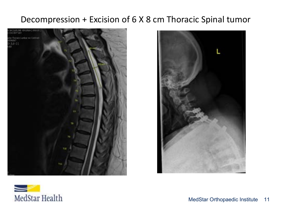#### Decompression + Excision of 6 X 8 cm Thoracic Spinal tumor





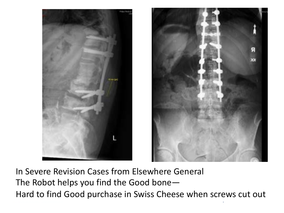



Hard to find Good purchase in Swiss Cheese when screws cut out In Severe Revision Cases from Elsewhere General The Robot helps you find the Good bone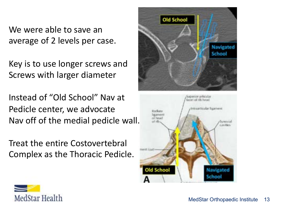We were able to save an average of 2 levels per case.

Key is to use longer screws and Screws with larger diameter

Instead of "Old School" Nav at Pedicle center, we advocate Nav off of the medial pedicle wall.

Treat the entire Costovertebral Complex as the Thoracic Pedicle.





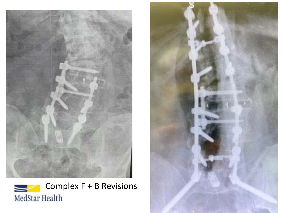



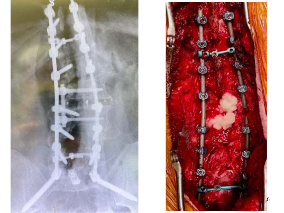

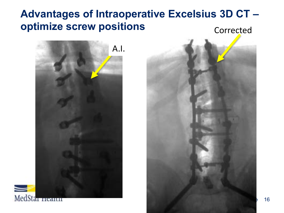#### **Advantages of Intraoperative Excelsius 3D CT – optimize screw positions** Corrected



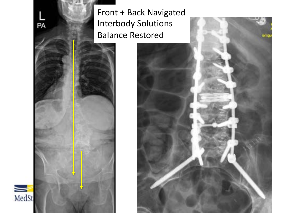Front + Back Navigated Interbody Solutions Balance Restored



ı PÄ

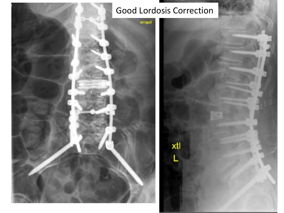